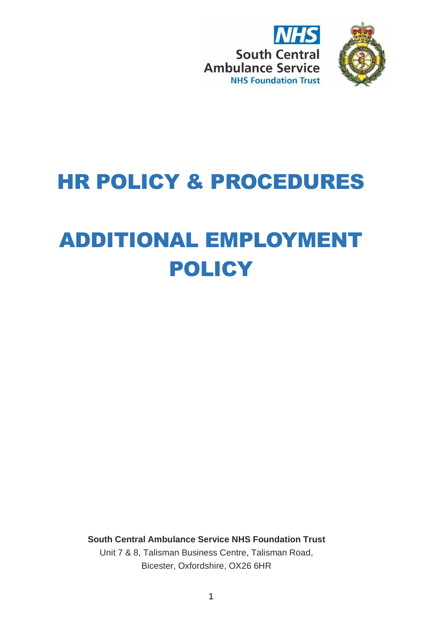



## HR POLICY & PROCEDURES

# ADDITIONAL EMPLOYMENT POLICY

**South Central Ambulance Service NHS Foundation Trust** Unit 7 & 8, Talisman Business Centre, Talisman Road,

Bicester, Oxfordshire, OX26 6HR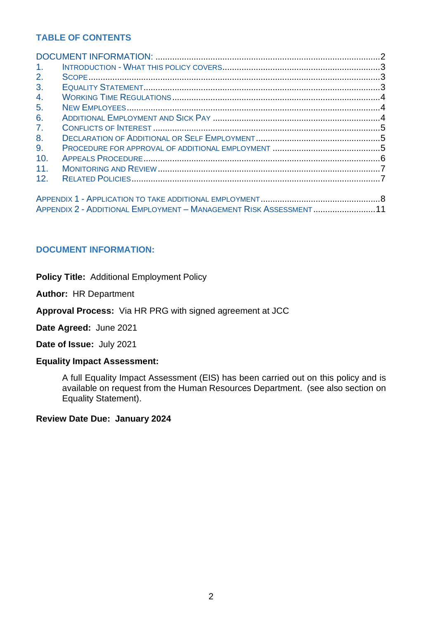## **TABLE OF CONTENTS**

| 1 <sub>1</sub> |                                                                   |  |
|----------------|-------------------------------------------------------------------|--|
| 2.             |                                                                   |  |
| 3.             |                                                                   |  |
| 4.             |                                                                   |  |
| 5.             |                                                                   |  |
| 6.             |                                                                   |  |
| 7 <sub>1</sub> |                                                                   |  |
| 8.             |                                                                   |  |
| 9.             |                                                                   |  |
| 10.            |                                                                   |  |
| 11.            |                                                                   |  |
| 12.            |                                                                   |  |
|                |                                                                   |  |
|                |                                                                   |  |
|                | APPENDIX 2 - ADDITIONAL EMPLOYMENT - MANAGEMENT RISK ASSESSMENT11 |  |

## <span id="page-1-0"></span>**DOCUMENT INFORMATION:**

**Policy Title:** Additional Employment Policy

**Author:** HR Department

**Approval Process:** Via HR PRG with signed agreement at JCC

**Date Agreed:** June 2021

**Date of Issue:** July 2021

#### **Equality Impact Assessment:**

A full Equality Impact Assessment (EIS) has been carried out on this policy and is available on request from the Human Resources Department. (see also section on Equality Statement).

**Review Date Due: January 2024**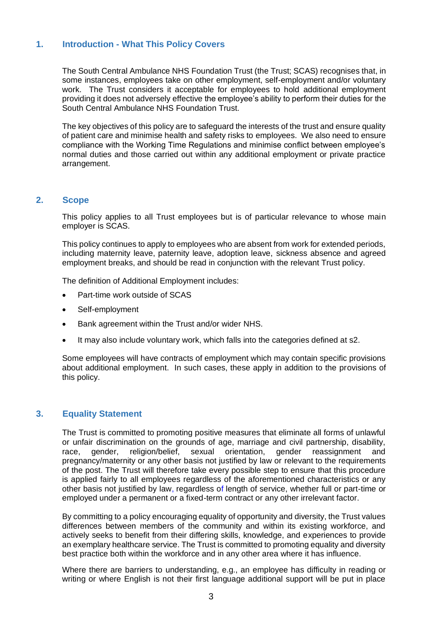## <span id="page-2-0"></span>**1. Introduction - What This Policy Covers**

The South Central Ambulance NHS Foundation Trust (the Trust; SCAS) recognises that, in some instances, employees take on other employment, self-employment and/or voluntary work. The Trust considers it acceptable for employees to hold additional employment providing it does not adversely effective the employee's ability to perform their duties for the South Central Ambulance NHS Foundation Trust.

The key objectives of this policy are to safeguard the interests of the trust and ensure quality of patient care and minimise health and safety risks to employees. We also need to ensure compliance with the Working Time Regulations and minimise conflict between employee's normal duties and those carried out within any additional employment or private practice arrangement.

#### <span id="page-2-1"></span>**2. Scope**

This policy applies to all Trust employees but is of particular relevance to whose main employer is SCAS.

This policy continues to apply to employees who are absent from work for extended periods, including maternity leave, paternity leave, adoption leave, sickness absence and agreed employment breaks, and should be read in conjunction with the relevant Trust policy.

The definition of Additional Employment includes:

- Part-time work outside of SCAS
- Self-employment
- Bank agreement within the Trust and/or wider NHS.
- It may also include voluntary work, which falls into the categories defined at s2.

Some employees will have contracts of employment which may contain specific provisions about additional employment. In such cases, these apply in addition to the provisions of this policy.

#### <span id="page-2-2"></span>**3. Equality Statement**

The Trust is committed to promoting positive measures that eliminate all forms of unlawful or unfair discrimination on the grounds of age, marriage and civil partnership, disability, race, gender, religion/belief, sexual orientation, gender reassignment and pregnancy/maternity or any other basis not justified by law or relevant to the requirements of the post. The Trust will therefore take every possible step to ensure that this procedure is applied fairly to all employees regardless of the aforementioned characteristics or any other basis not justified by law, regardless of length of service, whether full or part-time or employed under a permanent or a fixed-term contract or any other irrelevant factor.

By committing to a policy encouraging equality of opportunity and diversity, the Trust values differences between members of the community and within its existing workforce, and actively seeks to benefit from their differing skills, knowledge, and experiences to provide an exemplary healthcare service. The Trust is committed to promoting equality and diversity best practice both within the workforce and in any other area where it has influence.

Where there are barriers to understanding, e.g., an employee has difficulty in reading or writing or where English is not their first language additional support will be put in place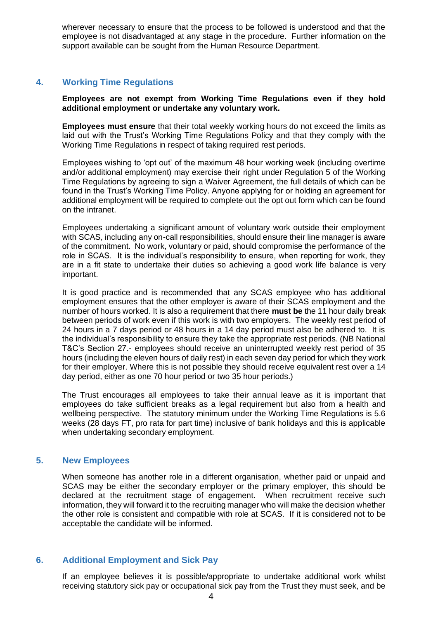wherever necessary to ensure that the process to be followed is understood and that the employee is not disadvantaged at any stage in the procedure. Further information on the support available can be sought from the Human Resource Department.

## <span id="page-3-0"></span>**4. Working Time Regulations**

**Employees are not exempt from Working Time Regulations even if they hold additional employment or undertake any voluntary work.** 

**Employees must ensure** that their total weekly working hours do not exceed the limits as laid out with the Trust's Working Time Regulations Policy and that they comply with the Working Time Regulations in respect of taking required rest periods.

Employees wishing to 'opt out' of the maximum 48 hour working week (including overtime and/or additional employment) may exercise their right under Regulation 5 of the Working Time Regulations by agreeing to sign a Waiver Agreement, the full details of which can be found in the Trust's Working Time Policy. Anyone applying for or holding an agreement for additional employment will be required to complete out the opt out form which can be found on the intranet.

Employees undertaking a significant amount of voluntary work outside their employment with SCAS, including any on-call responsibilities, should ensure their line manager is aware of the commitment. No work, voluntary or paid, should compromise the performance of the role in SCAS. It is the individual's responsibility to ensure, when reporting for work, they are in a fit state to undertake their duties so achieving a good work life balance is very important.

It is good practice and is recommended that any SCAS employee who has additional employment ensures that the other employer is aware of their SCAS employment and the number of hours worked. It is also a requirement that there **must be** the 11 hour daily break between periods of work even if this work is with two employers. The weekly rest period of 24 hours in a 7 days period or 48 hours in a 14 day period must also be adhered to. It is the individual's responsibility to ensure they take the appropriate rest periods. (NB National T&C's Section 27.- employees should receive an uninterrupted weekly rest period of 35 hours (including the eleven hours of daily rest) in each seven day period for which they work for their employer. Where this is not possible they should receive equivalent rest over a 14 day period, either as one 70 hour period or two 35 hour periods.)

The Trust encourages all employees to take their annual leave as it is important that employees do take sufficient breaks as a legal requirement but also from a health and wellbeing perspective. The statutory minimum under the Working Time Regulations is 5.6 weeks (28 days FT, pro rata for part time) inclusive of bank holidays and this is applicable when undertaking secondary employment.

#### <span id="page-3-1"></span>**5. New Employees**

When someone has another role in a different organisation, whether paid or unpaid and SCAS may be either the secondary employer or the primary employer, this should be declared at the recruitment stage of engagement. When recruitment receive such information, they will forward it to the recruiting manager who will make the decision whether the other role is consistent and compatible with role at SCAS. If it is considered not to be acceptable the candidate will be informed.

#### <span id="page-3-2"></span>**6. Additional Employment and Sick Pay**

If an employee believes it is possible/appropriate to undertake additional work whilst receiving statutory sick pay or occupational sick pay from the Trust they must seek, and be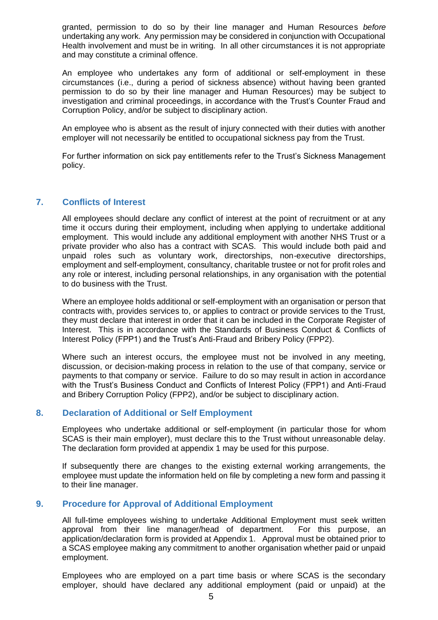granted, permission to do so by their line manager and Human Resources *before* undertaking any work. Any permission may be considered in conjunction with Occupational Health involvement and must be in writing. In all other circumstances it is not appropriate and may constitute a criminal offence.

An employee who undertakes any form of additional or self-employment in these circumstances (i.e., during a period of sickness absence) without having been granted permission to do so by their line manager and Human Resources) may be subject to investigation and criminal proceedings, in accordance with the Trust's Counter Fraud and Corruption Policy, and/or be subject to disciplinary action.

An employee who is absent as the result of injury connected with their duties with another employer will not necessarily be entitled to occupational sickness pay from the Trust.

For further information on sick pay entitlements refer to the Trust's Sickness Management policy.

## <span id="page-4-0"></span>**7. Conflicts of Interest**

All employees should declare any conflict of interest at the point of recruitment or at any time it occurs during their employment, including when applying to undertake additional employment. This would include any additional employment with another NHS Trust or a private provider who also has a contract with SCAS. This would include both paid and unpaid roles such as voluntary work, directorships, non-executive directorships, employment and self-employment, consultancy, charitable trustee or not for profit roles and any role or interest, including personal relationships, in any organisation with the potential to do business with the Trust.

Where an employee holds additional or self-employment with an organisation or person that contracts with, provides services to, or applies to contract or provide services to the Trust, they must declare that interest in order that it can be included in the Corporate Register of Interest. This is in accordance with the Standards of Business Conduct & Conflicts of Interest Policy (FPP1) and the Trust's Anti-Fraud and Bribery Policy (FPP2).

Where such an interest occurs, the employee must not be involved in any meeting, discussion, or decision-making process in relation to the use of that company, service or payments to that company or service. Failure to do so may result in action in accordance with the Trust's Business Conduct and Conflicts of Interest Policy (FPP1) and Anti-Fraud and Bribery Corruption Policy (FPP2), and/or be subject to disciplinary action.

#### <span id="page-4-1"></span>**8. Declaration of Additional or Self Employment**

Employees who undertake additional or self-employment (in particular those for whom SCAS is their main employer), must declare this to the Trust without unreasonable delay. The declaration form provided at appendix 1 may be used for this purpose.

If subsequently there are changes to the existing external working arrangements, the employee must update the information held on file by completing a new form and passing it to their line manager.

## <span id="page-4-2"></span>**9. Procedure for Approval of Additional Employment**

All full-time employees wishing to undertake Additional Employment must seek written approval from their line manager/head of department. For this purpose, an application/declaration form is provided at Appendix 1. Approval must be obtained prior to a SCAS employee making any commitment to another organisation whether paid or unpaid employment.

Employees who are employed on a part time basis or where SCAS is the secondary employer, should have declared any additional employment (paid or unpaid) at the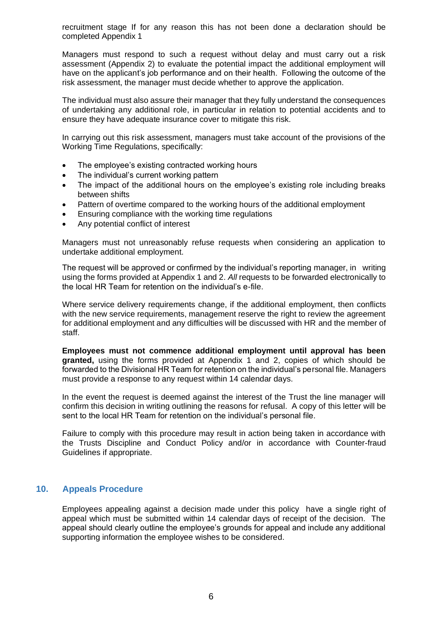recruitment stage If for any reason this has not been done a declaration should be completed Appendix 1

Managers must respond to such a request without delay and must carry out a risk assessment (Appendix 2) to evaluate the potential impact the additional employment will have on the applicant's job performance and on their health. Following the outcome of the risk assessment, the manager must decide whether to approve the application.

The individual must also assure their manager that they fully understand the consequences of undertaking any additional role, in particular in relation to potential accidents and to ensure they have adequate insurance cover to mitigate this risk.

In carrying out this risk assessment, managers must take account of the provisions of the Working Time Regulations, specifically:

- The employee's existing contracted working hours
- The individual's current working pattern
- The impact of the additional hours on the employee's existing role including breaks between shifts
- Pattern of overtime compared to the working hours of the additional employment
- Ensuring compliance with the working time regulations
- Any potential conflict of interest

Managers must not unreasonably refuse requests when considering an application to undertake additional employment.

The request will be approved or confirmed by the individual's reporting manager, in writing using the forms provided at Appendix 1 and 2. *All* requests to be forwarded electronically to the local HR Team for retention on the individual's e-file.

Where service delivery requirements change, if the additional employment, then conflicts with the new service requirements, management reserve the right to review the agreement for additional employment and any difficulties will be discussed with HR and the member of staff.

**Employees must not commence additional employment until approval has been granted,** using the forms provided at Appendix 1 and 2, copies of which should be forwarded to the Divisional HR Team for retention on the individual's personal file. Managers must provide a response to any request within 14 calendar days.

In the event the request is deemed against the interest of the Trust the line manager will confirm this decision in writing outlining the reasons for refusal. A copy of this letter will be sent to the local HR Team for retention on the individual's personal file.

Failure to comply with this procedure may result in action being taken in accordance with the Trusts Discipline and Conduct Policy and/or in accordance with Counter-fraud Guidelines if appropriate.

#### <span id="page-5-0"></span>**10. Appeals Procedure**

Employees appealing against a decision made under this policy have a single right of appeal which must be submitted within 14 calendar days of receipt of the decision. The appeal should clearly outline the employee's grounds for appeal and include any additional supporting information the employee wishes to be considered.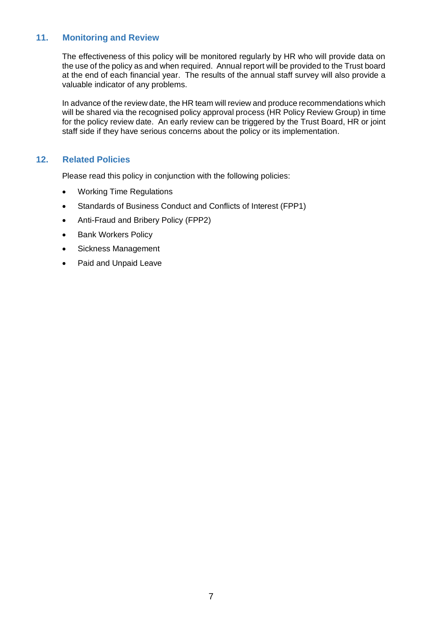## <span id="page-6-0"></span>**11. Monitoring and Review**

The effectiveness of this policy will be monitored regularly by HR who will provide data on the use of the policy as and when required. Annual report will be provided to the Trust board at the end of each financial year. The results of the annual staff survey will also provide a valuable indicator of any problems.

In advance of the review date, the HR team will review and produce recommendations which will be shared via the recognised policy approval process (HR Policy Review Group) in time for the policy review date. An early review can be triggered by the Trust Board, HR or joint staff side if they have serious concerns about the policy or its implementation.

#### <span id="page-6-1"></span>**12. Related Policies**

Please read this policy in conjunction with the following policies:

- Working Time Regulations
- Standards of Business Conduct and Conflicts of Interest (FPP1)
- Anti-Fraud and Bribery Policy (FPP2)
- Bank Workers Policy
- Sickness Management
- Paid and Unpaid Leave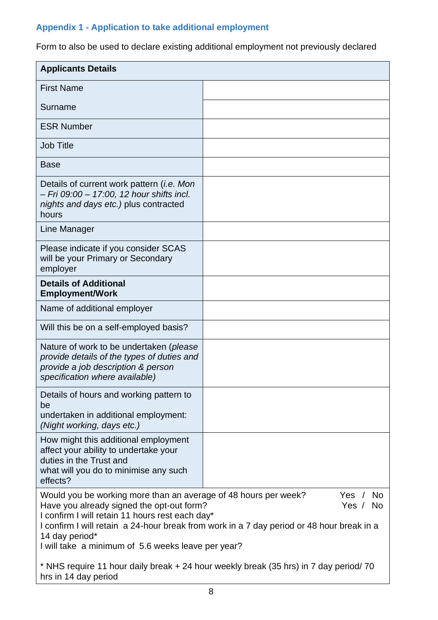## <span id="page-7-0"></span>**Appendix 1 - Application to take additional employment**

Form to also be used to declare existing additional employment not previously declared

| <b>Applicants Details</b>                                                                                                                                                                                                                                                                                                                                                            |  |  |  |
|--------------------------------------------------------------------------------------------------------------------------------------------------------------------------------------------------------------------------------------------------------------------------------------------------------------------------------------------------------------------------------------|--|--|--|
| <b>First Name</b>                                                                                                                                                                                                                                                                                                                                                                    |  |  |  |
| Surname                                                                                                                                                                                                                                                                                                                                                                              |  |  |  |
| <b>ESR Number</b>                                                                                                                                                                                                                                                                                                                                                                    |  |  |  |
| <b>Job Title</b>                                                                                                                                                                                                                                                                                                                                                                     |  |  |  |
| <b>Base</b>                                                                                                                                                                                                                                                                                                                                                                          |  |  |  |
| Details of current work pattern <i>(i.e. Mon</i><br>– Fri 09:00 – 17:00, 12 hour shifts incl.<br>nights and days etc.) plus contracted<br>hours                                                                                                                                                                                                                                      |  |  |  |
| Line Manager                                                                                                                                                                                                                                                                                                                                                                         |  |  |  |
| Please indicate if you consider SCAS<br>will be your Primary or Secondary<br>employer                                                                                                                                                                                                                                                                                                |  |  |  |
| <b>Details of Additional</b><br><b>Employment/Work</b>                                                                                                                                                                                                                                                                                                                               |  |  |  |
| Name of additional employer                                                                                                                                                                                                                                                                                                                                                          |  |  |  |
| Will this be on a self-employed basis?                                                                                                                                                                                                                                                                                                                                               |  |  |  |
| Nature of work to be undertaken ( <i>please</i><br>provide details of the types of duties and<br>provide a job description & person<br>specification where available)                                                                                                                                                                                                                |  |  |  |
| Details of hours and working pattern to<br>be                                                                                                                                                                                                                                                                                                                                        |  |  |  |
| undertaken in additional employment:<br>(Night working, days etc.)                                                                                                                                                                                                                                                                                                                   |  |  |  |
| How might this additional employment<br>affect your ability to undertake your<br>duties in the Trust and<br>what will you do to minimise any such<br>effects?                                                                                                                                                                                                                        |  |  |  |
| Would you be working more than an average of 48 hours per week?<br>Yes $/$<br><b>No</b><br>Have you already signed the opt-out form?<br>Yes $/$<br><b>No</b><br>I confirm I will retain 11 hours rest each day*<br>I confirm I will retain a 24-hour break from work in a 7 day period or 48 hour break in a<br>14 day period*<br>I will take a minimum of 5.6 weeks leave per year? |  |  |  |
| * NHS require 11 hour daily break + 24 hour weekly break (35 hrs) in 7 day period/70<br>hrs in 14 day period                                                                                                                                                                                                                                                                         |  |  |  |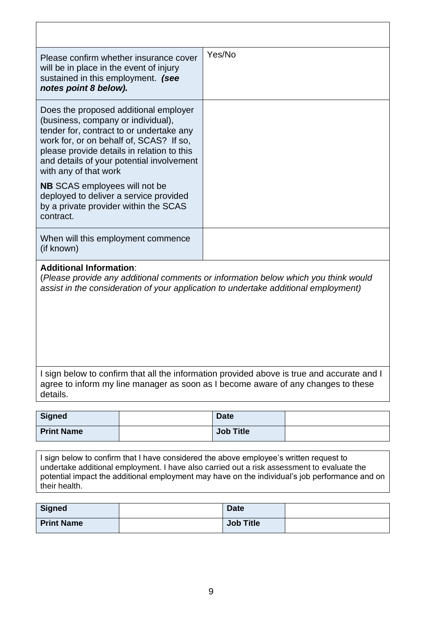| Please confirm whether insurance cover<br>will be in place in the event of injury<br>sustained in this employment. (see<br>notes point 8 below).                                                                                                                                       | Yes/No |
|----------------------------------------------------------------------------------------------------------------------------------------------------------------------------------------------------------------------------------------------------------------------------------------|--------|
| Does the proposed additional employer<br>(business, company or individual),<br>tender for, contract to or undertake any<br>work for, or on behalf of, SCAS? If so,<br>please provide details in relation to this<br>and details of your potential involvement<br>with any of that work |        |
| <b>NB</b> SCAS employees will not be<br>deployed to deliver a service provided<br>by a private provider within the SCAS<br>contract.                                                                                                                                                   |        |
| When will this employment commence<br>(if known)                                                                                                                                                                                                                                       |        |
| <b>Additional Information:</b>                                                                                                                                                                                                                                                         |        |

(*Please provide any additional comments or information below which you think would assist in the consideration of your application to undertake additional employment)*

| I sign below to confirm that all the information provided above is true and accurate and I |
|--------------------------------------------------------------------------------------------|
| agree to inform my line manager as soon as I become aware of any changes to these          |
| details.                                                                                   |

| <b>Signed</b>     | <b>Date</b>      |  |
|-------------------|------------------|--|
| <b>Print Name</b> | <b>Job Title</b> |  |

I sign below to confirm that I have considered the above employee's written request to undertake additional employment. I have also carried out a risk assessment to evaluate the potential impact the additional employment may have on the individual's job performance and on their health.

| <b>Signed</b>     | <b>Date</b>      |  |
|-------------------|------------------|--|
| <b>Print Name</b> | <b>Job Title</b> |  |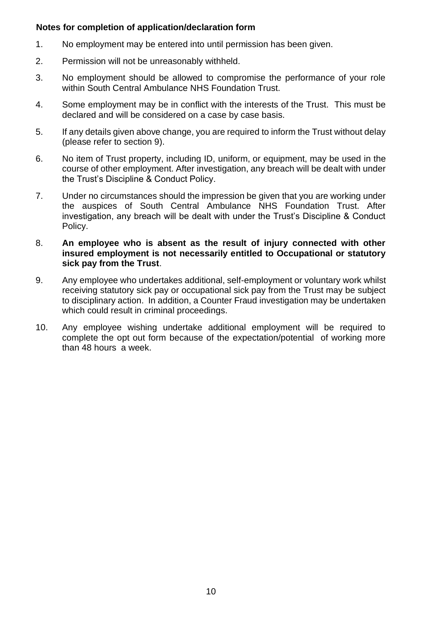## **Notes for completion of application/declaration form**

- 1. No employment may be entered into until permission has been given.
- 2. Permission will not be unreasonably withheld.
- 3. No employment should be allowed to compromise the performance of your role within South Central Ambulance NHS Foundation Trust.
- 4. Some employment may be in conflict with the interests of the Trust. This must be declared and will be considered on a case by case basis.
- 5. If any details given above change, you are required to inform the Trust without delay (please refer to section 9).
- 6. No item of Trust property, including ID, uniform, or equipment, may be used in the course of other employment. After investigation, any breach will be dealt with under the Trust's Discipline & Conduct Policy.
- 7. Under no circumstances should the impression be given that you are working under the auspices of South Central Ambulance NHS Foundation Trust. After investigation, any breach will be dealt with under the Trust's Discipline & Conduct Policy.
- 8. **An employee who is absent as the result of injury connected with other insured employment is not necessarily entitled to Occupational or statutory sick pay from the Trust**.
- 9. Any employee who undertakes additional, self-employment or voluntary work whilst receiving statutory sick pay or occupational sick pay from the Trust may be subject to disciplinary action. In addition, a Counter Fraud investigation may be undertaken which could result in criminal proceedings.
- 10. Any employee wishing undertake additional employment will be required to complete the opt out form because of the expectation/potential of working more than 48 hours a week.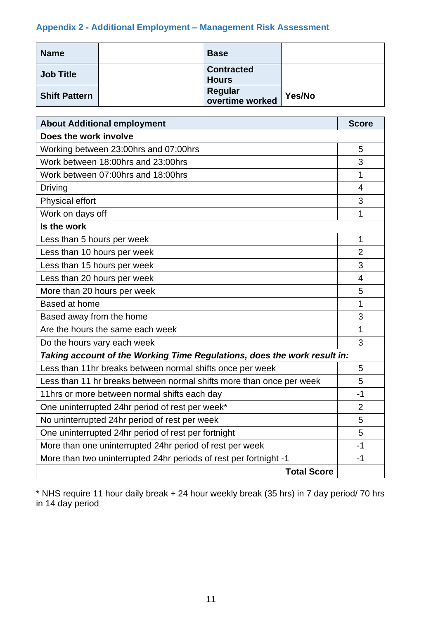## <span id="page-10-0"></span>**Appendix 2 - Additional Employment – Management Risk Assessment**

| <b>Name</b>          | <b>Base</b>                       |        |
|----------------------|-----------------------------------|--------|
| <b>Job Title</b>     | <b>Contracted</b><br><b>Hours</b> |        |
| <b>Shift Pattern</b> | <b>Regular</b><br>overtime worked | Yes/No |

| <b>About Additional employment</b>                                       | <b>Score</b>   |  |  |
|--------------------------------------------------------------------------|----------------|--|--|
| Does the work involve                                                    |                |  |  |
| Working between 23:00hrs and 07:00hrs                                    | 5              |  |  |
| Work between 18:00hrs and 23:00hrs                                       | 3              |  |  |
| Work between 07:00hrs and 18:00hrs                                       | 1              |  |  |
| <b>Driving</b>                                                           | $\overline{4}$ |  |  |
| Physical effort                                                          | 3              |  |  |
| Work on days off                                                         | 1              |  |  |
| Is the work                                                              |                |  |  |
| Less than 5 hours per week                                               | 1              |  |  |
| Less than 10 hours per week                                              | $\overline{2}$ |  |  |
| Less than 15 hours per week                                              | 3              |  |  |
| Less than 20 hours per week                                              | $\overline{4}$ |  |  |
| More than 20 hours per week                                              | 5              |  |  |
| Based at home                                                            | 1              |  |  |
| Based away from the home                                                 | 3              |  |  |
| Are the hours the same each week                                         | 1              |  |  |
| Do the hours vary each week                                              | 3              |  |  |
| Taking account of the Working Time Regulations, does the work result in: |                |  |  |
| Less than 11hr breaks between normal shifts once per week                | 5              |  |  |
| Less than 11 hr breaks between normal shifts more than once per week     | 5              |  |  |
| 11hrs or more between normal shifts each day                             | $-1$           |  |  |
| One uninterrupted 24hr period of rest per week*                          | $\overline{2}$ |  |  |
| No uninterrupted 24hr period of rest per week                            |                |  |  |
| One uninterrupted 24hr period of rest per fortnight                      |                |  |  |
| More than one uninterrupted 24hr period of rest per week                 |                |  |  |
| More than two uninterrupted 24hr periods of rest per fortnight -1        | -1             |  |  |
| <b>Total Score</b>                                                       |                |  |  |

\* NHS require 11 hour daily break + 24 hour weekly break (35 hrs) in 7 day period/ 70 hrs in 14 day period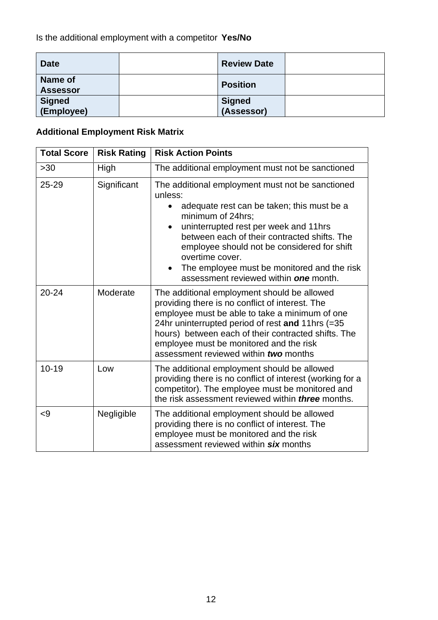| <b>Date</b>                       | <b>Review Date</b>          |  |
|-----------------------------------|-----------------------------|--|
| <b>Name of</b><br><b>Assessor</b> | <b>Position</b>             |  |
| <b>Signed</b><br>(Employee)       | <b>Signed</b><br>(Assessor) |  |

## **Additional Employment Risk Matrix**

| <b>Total Score</b> | <b>Risk Rating</b> | <b>Risk Action Points</b>                                                                                                                                                                                                                                                                                                                                                                                   |
|--------------------|--------------------|-------------------------------------------------------------------------------------------------------------------------------------------------------------------------------------------------------------------------------------------------------------------------------------------------------------------------------------------------------------------------------------------------------------|
| $>30$              | High               | The additional employment must not be sanctioned                                                                                                                                                                                                                                                                                                                                                            |
| $25 - 29$          | Significant        | The additional employment must not be sanctioned<br>unless:<br>adequate rest can be taken; this must be a<br>$\bullet$<br>minimum of 24hrs;<br>uninterrupted rest per week and 11hrs<br>$\bullet$<br>between each of their contracted shifts. The<br>employee should not be considered for shift<br>overtime cover.<br>The employee must be monitored and the risk<br>assessment reviewed within one month. |
| $20 - 24$          | Moderate           | The additional employment should be allowed<br>providing there is no conflict of interest. The<br>employee must be able to take a minimum of one<br>24hr uninterrupted period of rest and 11hrs (=35<br>hours) between each of their contracted shifts. The<br>employee must be monitored and the risk<br>assessment reviewed within <i>two</i> months                                                      |
| $10 - 19$          | Low                | The additional employment should be allowed<br>providing there is no conflict of interest (working for a<br>competitor). The employee must be monitored and<br>the risk assessment reviewed within <i>three</i> months.                                                                                                                                                                                     |
| $\leq$ 9           | Negligible         | The additional employment should be allowed<br>providing there is no conflict of interest. The<br>employee must be monitored and the risk<br>assessment reviewed within six months                                                                                                                                                                                                                          |